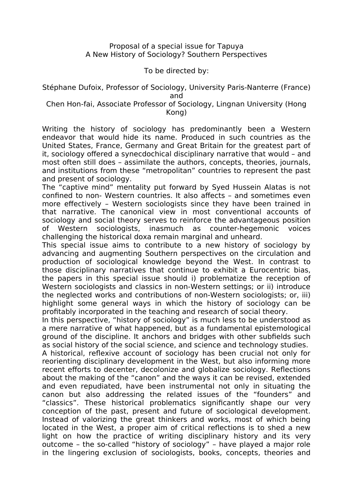## Proposal of a special issue for Tapuya A New History of Sociology? Southern Perspectives

## To be directed by:

## Stéphane Dufoix, Professor of Sociology, University Paris-Nanterre (France) and

## Chen Hon-fai, Associate Professor of Sociology, Lingnan University (Hong Kong)

Writing the history of sociology has predominantly been a Western endeavor that would hide its name. Produced in such countries as the United States, France, Germany and Great Britain for the greatest part of it, sociology offered a synecdochical disciplinary narrative that would – and most often still does – assimilate the authors, concepts, theories, journals, and institutions from these "metropolitan" countries to represent the past and present of sociology.

The "captive mind" mentality put forward by Syed Hussein Alatas is not confined to non- Western countries. It also affects – and sometimes even more effectively – Western sociologists since they have been trained in that narrative. The canonical view in most conventional accounts of sociology and social theory serves to reinforce the advantageous position of Western sociologists, inasmuch as counter-hegemonic voices challenging the historical doxa remain marginal and unheard.

This special issue aims to contribute to a new history of sociology by advancing and augmenting Southern perspectives on the circulation and production of sociological knowledge beyond the West. In contrast to those disciplinary narratives that continue to exhibit a Eurocentric bias, the papers in this special issue should i) problematize the reception of Western sociologists and classics in non-Western settings; or ii) introduce the neglected works and contributions of non-Western sociologists; or, iii) highlight some general ways in which the history of sociology can be profitably incorporated in the teaching and research of social theory.

In this perspective, "history of sociology" is much less to be understood as a mere narrative of what happened, but as a fundamental epistemological ground of the discipline. It anchors and bridges with other subfields such as social history of the social science, and science and technology studies.

A historical, reflexive account of sociology has been crucial not only for reorienting disciplinary development in the West, but also informing more recent efforts to decenter, decolonize and globalize sociology. Reflections about the making of the "canon" and the ways it can be revised, extended and even repudiated, have been instrumental not only in situating the canon but also addressing the related issues of the "founders" and "classics". These historical problematics significantly shape our very conception of the past, present and future of sociological development. Instead of valorizing the great thinkers and works, most of which being located in the West, a proper aim of critical reflections is to shed a new light on how the practice of writing disciplinary history and its very outcome – the so-called "history of sociology" – have played a major role in the lingering exclusion of sociologists, books, concepts, theories and